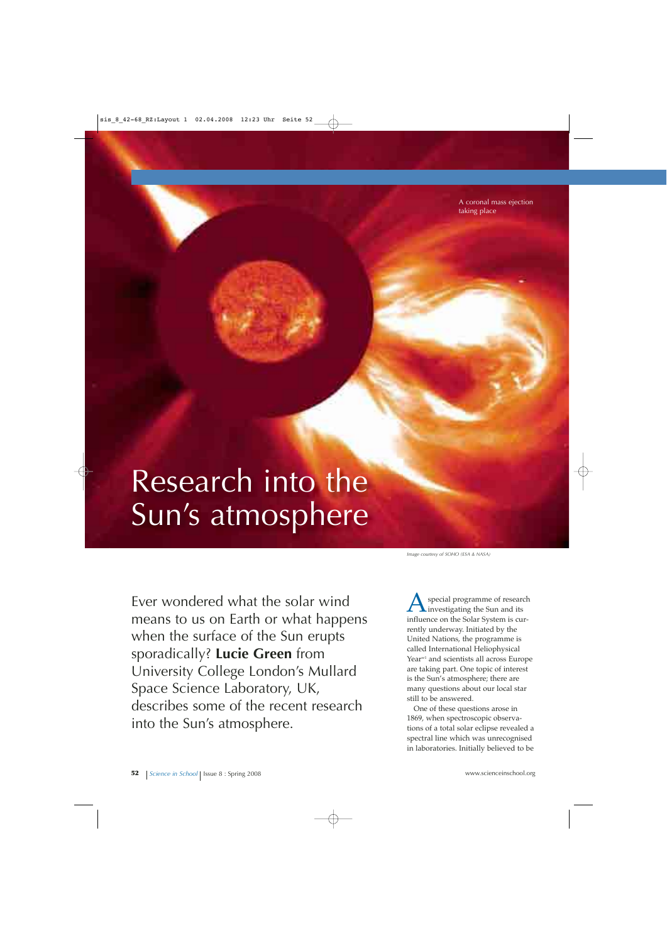A coronal mass ejection taking place

## Research into the Sun's atmosphere

Ever wondered what the solar wind means to us on Earth or what happens when the surface of the Sun erupts sporadically? **Lucie Green** from University College London's Mullard Space Science Laboratory, UK, describes some of the recent research into the Sun's atmosphere.

*Image courtesy of SOHO (ESA & NASA)*

special programme of research investigating the Sun and its influence on the Solar System is currently underway. Initiated by the United Nations, the programme is called International Heliophysical Year<sup>w1</sup> and scientists all across Europe are taking part. One topic of interest is the Sun's atmosphere; there are many questions about our local star still to be answered.

One of these questions arose in 1869, when spectroscopic observations of a total solar eclipse revealed a spectral line which was unrecognised in laboratories. Initially believed to be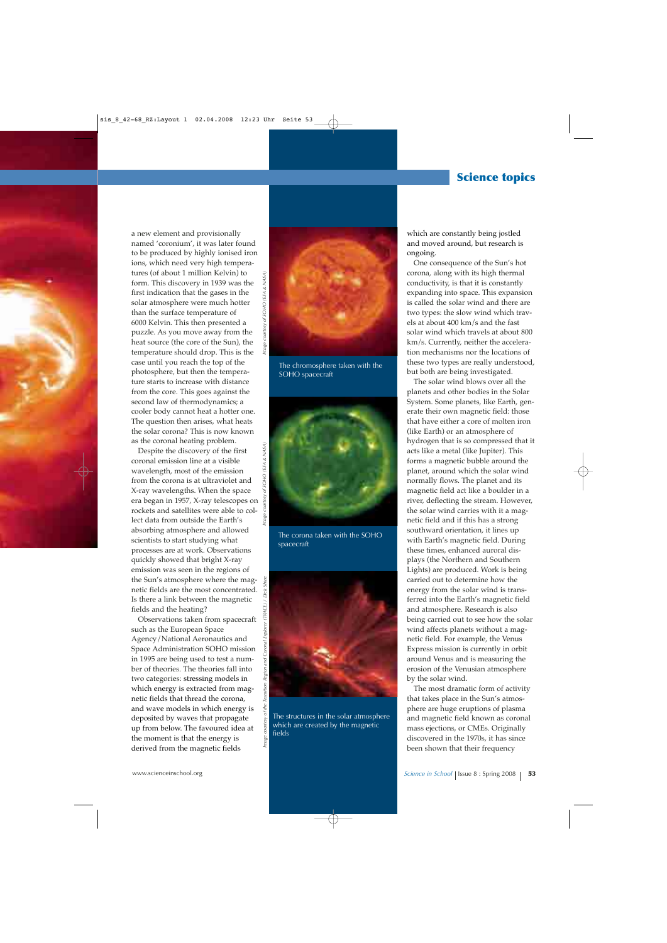## **Science topics**

a new element and provisionally named 'coronium', it was later found to be produced by highly ionised iron ions, which need very high temperatures (of about 1 million Kelvin) to form. This discovery in 1939 was the first indication that the gases in the solar atmosphere were much hotter than the surface temperature of 6000 Kelvin. This then presented a puzzle. As you move away from the heat source (the core of the Sun), the temperature should drop. This is the case until you reach the top of the photosphere, but then the temperature starts to increase with distance from the core. This goes against the second law of thermodynamics; a cooler body cannot heat a hotter one. The question then arises, what heats the solar corona? This is now known as the coronal heating problem.

Despite the discovery of the first coronal emission line at a visible wavelength, most of the emission from the corona is at ultraviolet and X-ray wavelengths. When the space era began in 1957, X-ray telescopes on rockets and satellites were able to collect data from outside the Earth's absorbing atmosphere and allowed scientists to start studying what processes are at work. Observations quickly showed that bright X-ray emission was seen in the regions of the Sun's atmosphere where the magnetic fields are the most concentrated. Is there a link between the magnetic fields and the heating?

Observations taken from spacecraft such as the European Space Agency/National Aeronautics and Space Administration SOHO mission in 1995 are being used to test a number of theories. The theories fall into two categories: stressing models in which energy is extracted from magnetic fields that thread the corona, and wave models in which energy is deposited by waves that propagate up from below. The favoured idea at the moment is that the energy is derived from the magnetic fields



The chromosphere taken with the SOHO spacecraft



The corona taken with the SOHO spacecraft



The structures in the solar atmosphere which are created by the magnetic fields

courtesy of

mage

which are constantly being jostled and moved around, but research is ongoing.

One consequence of the Sun's hot corona, along with its high thermal conductivity, is that it is constantly expanding into space. This expansion is called the solar wind and there are two types: the slow wind which travels at about 400 km/s and the fast solar wind which travels at about 800 km/s. Currently, neither the acceleration mechanisms nor the locations of these two types are really understood, but both are being investigated.

The solar wind blows over all the planets and other bodies in the Solar System. Some planets, like Earth, generate their own magnetic field: those that have either a core of molten iron (like Earth) or an atmosphere of hydrogen that is so compressed that it acts like a metal (like Jupiter). This forms a magnetic bubble around the planet, around which the solar wind normally flows. The planet and its magnetic field act like a boulder in a river, deflecting the stream. However, the solar wind carries with it a magnetic field and if this has a strong southward orientation, it lines up with Earth's magnetic field. During these times, enhanced auroral displays (the Northern and Southern Lights) are produced. Work is being carried out to determine how the energy from the solar wind is transferred into the Earth's magnetic field and atmosphere. Research is also being carried out to see how the solar wind affects planets without a magnetic field. For example, the Venus Express mission is currently in orbit around Venus and is measuring the erosion of the Venusian atmosphere by the solar wind.

The most dramatic form of activity that takes place in the Sun's atmosphere are huge eruptions of plasma and magnetic field known as coronal mass ejections, or CMEs. Originally discovered in the 1970s, it has since been shown that their frequency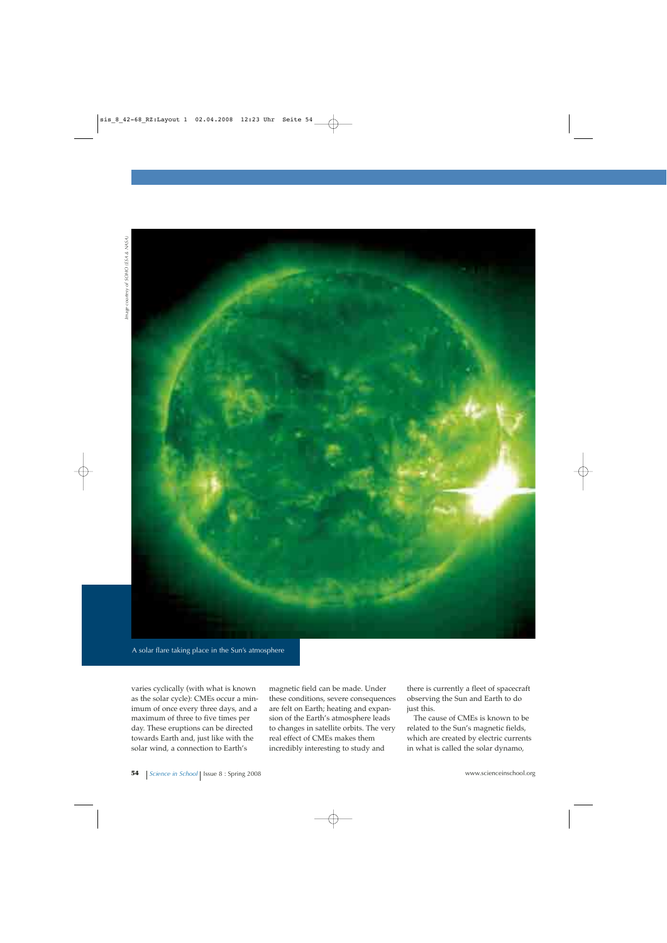

A solar flare taking place in the Sun's atmosphere

varies cyclically (with what is known as the solar cycle): CMEs occur a minimum of once every three days, and a maximum of three to five times per day. These eruptions can be directed towards Earth and, just like with the solar wind, a connection to Earth's

magnetic field can be made. Under these conditions, severe consequences are felt on Earth; heating and expansion of the Earth's atmosphere leads to changes in satellite orbits. The very real effect of CMEs makes them incredibly interesting to study and

there is currently a fleet of spacecraft observing the Sun and Earth to do just this.

The cause of CMEs is known to be related to the Sun's magnetic fields, which are created by electric currents in what is called the solar dynamo,